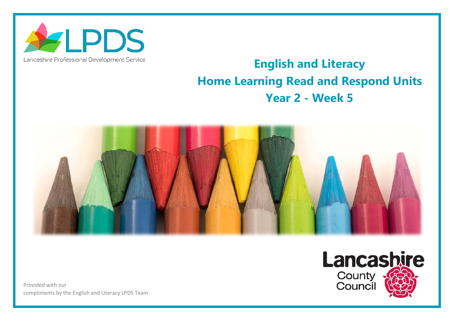

## Lancashire Professional Development Service

## **English and Literacy Home Learning Read and Respond Units Year 2 - Week 5**



Provided with our compliments by the English and Literacy LPDS Team

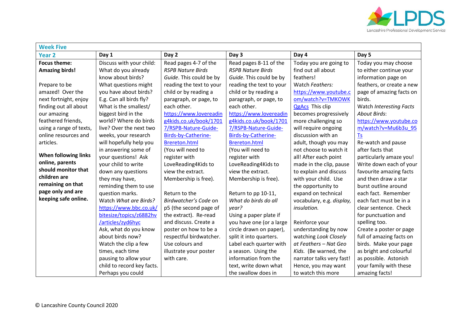

| <b>Week Five</b>        |                            |                          |                          |                           |                           |  |  |
|-------------------------|----------------------------|--------------------------|--------------------------|---------------------------|---------------------------|--|--|
| <b>Year 2</b>           | Day 1                      | Day 2                    | Day 3                    | Day 4                     | Day 5                     |  |  |
| <b>Focus theme:</b>     | Discuss with your child:   | Read pages 4-7 of the    | Read pages 8-11 of the   | Today you are going to    | Today you may choose      |  |  |
| <b>Amazing birds!</b>   | What do you already        | <b>RSPB Nature Birds</b> | <b>RSPB Nature Birds</b> | find out all about        | to either continue your   |  |  |
|                         | know about birds?          | Guide. This could be by  | Guide. This could be by  | feathers!                 | information page on       |  |  |
| Prepare to be           | What questions might       | reading the text to your | reading the text to your | Watch Feathers:           | feathers, or create a new |  |  |
| amazed! Over the        | you have about birds?      | child or by reading a    | child or by reading a    | https://www.youtube.c     | page of amazing facts on  |  |  |
| next fortnight, enjoy   | E.g. Can all birds fly?    | paragraph, or page, to   | paragraph, or page, to   | om/watch?v=TMKOWK         | birds.                    |  |  |
| finding out all about   | What is the smallest/      | each other.              | each other.              | <b>QgAcs</b> This clip    | Watch Interesting Facts   |  |  |
| our amazing             | biggest bird in the        | https://www.lovereadin   | https://www.lovereadin   | becomes progressively     | <b>About Birds:</b>       |  |  |
| feathered friends,      | world? Where do birds      | g4kids.co.uk/book/1701   | g4kids.co.uk/book/1701   | more challenging so       | https://www.youtube.co    |  |  |
| using a range of texts, | live? Over the next two    | 7/RSPB-Nature-Guide-     | 7/RSPB-Nature-Guide-     | will require ongoing      | m/watch?v=Mu6b3u 95       |  |  |
| online resources and    | weeks, your research       | Birds-by-Catherine-      | Birds-by-Catherine-      | discussion with an        | <b>Ts</b>                 |  |  |
| articles.               | will hopefully help you    | <b>Brereton.html</b>     | <b>Brereton.html</b>     | adult, though you may     | Re-watch and pause        |  |  |
|                         | in answering some of       | (You will need to        | (You will need to        | not choose to watch it    | after facts that          |  |  |
| When following links    | your questions! Ask        | register with            | register with            | all! After each point     | particularly amaze you!   |  |  |
| online, parents         | your child to write        | LoveReading4Kids to      | LoveReading4Kids to      | made in the clip, pause   | Write down each of your   |  |  |
| should monitor that     | down any questions         | view the extract.        | view the extract.        | to explain and discuss    | favourite amazing facts   |  |  |
| children are            | they may have,             | Membership is free).     | Membership is free).     | with your child. Use      | and then draw a star      |  |  |
| remaining on that       | reminding them to use      |                          |                          | the opportunity to        | burst outline around      |  |  |
| page only and are       | question marks.            | Return to the            | Return to pp 10-11,      | expand on technical       | each fact. Remember       |  |  |
| keeping safe online.    | Watch What are Birds?      | Birdwatcher's Code on    | What do birds do all     | vocabulary, e.g. display, | each fact must be in a    |  |  |
|                         | https://www.bbc.co.uk/     | p5 (the second page of   | year?                    | insulation.               | clear sentence. Check     |  |  |
|                         | bitesize/topics/z6882hv    | the extract). Re-read    | Using a paper plate if   |                           | for punctuation and       |  |  |
|                         | /articles/zyd6hyc          | and discuss. Create a    | you have one (or a large | Reinforce your            | spelling too.             |  |  |
|                         | Ask, what do you know      | poster on how to be a    | circle drawn on paper),  | understanding by now      | Create a poster or page   |  |  |
|                         | about birds now?           | respectful birdwatcher.  | split it into quarters.  | watching Look Closely     | full of amazing facts on  |  |  |
|                         | Watch the clip a few       | Use colours and          | Label each quarter with  | at Feathers - Nat Geo     | birds. Make your page     |  |  |
|                         | times, each time           | illustrate your poster   | a season. Using the      | Kids. (Be warned, the     | as bright and colourful   |  |  |
|                         | pausing to allow your      | with care.               | information from the     | narrator talks very fast! | as possible. Astonish     |  |  |
|                         | child to record key facts. |                          | text, write down what    | Hence, you may want       | your family with these    |  |  |
|                         | Perhaps you could          |                          | the swallow does in      | to watch this more        | amazing facts!            |  |  |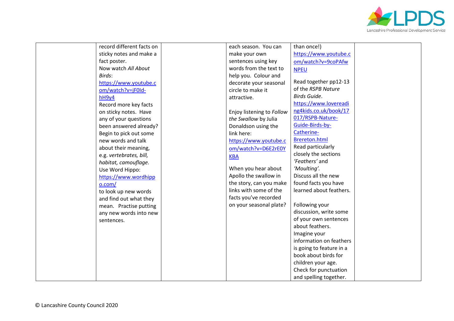

| record different facts on | each season. You can      | than once!)              |  |
|---------------------------|---------------------------|--------------------------|--|
| sticky notes and make a   | make your own             | https://www.youtube.c    |  |
| fact poster.              | sentences using key       | om/watch?v=9coPAfw       |  |
| Now watch All About       | words from the text to    | <b>NPEU</b>              |  |
| Birds:                    | help you. Colour and      |                          |  |
| https://www.youtube.c     | decorate your seasonal    | Read together pp12-13    |  |
| om/watch?v=jF0ld-         | circle to make it         | of the RSPB Nature       |  |
| hH9y4                     | attractive.               | Birds Guide.             |  |
| Record more key facts     |                           | https://www.lovereadi    |  |
| on sticky notes. Have     | Enjoy listening to Follow | ng4kids.co.uk/book/17    |  |
| any of your questions     | the Swallow by Julia      | 017/RSPB-Nature-         |  |
| been answered already?    | Donaldson using the       | Guide-Birds-by-          |  |
| Begin to pick out some    | link here:                | Catherine-               |  |
| new words and talk        | https://www.youtube.c     | <b>Brereton.html</b>     |  |
| about their meaning,      | om/watch?v=D6E2rE0Y       | Read particularly        |  |
| e.g. vertebrates, bill,   | <b>KBA</b>                | closely the sections     |  |
| habitat, camouflage.      |                           | 'Feathers' and           |  |
| Use Word Hippo:           | When you hear about       | 'Moulting'.              |  |
| https://www.wordhipp      | Apollo the swallow in     | Discuss all the new      |  |
| o.com/                    | the story, can you make   | found facts you have     |  |
| to look up new words      | links with some of the    | learned about feathers.  |  |
| and find out what they    | facts you've recorded     |                          |  |
| mean. Practise putting    | on your seasonal plate?   | Following your           |  |
| any new words into new    |                           | discussion, write some   |  |
| sentences.                |                           | of your own sentences    |  |
|                           |                           | about feathers.          |  |
|                           |                           | Imagine your             |  |
|                           |                           | information on feathers  |  |
|                           |                           | is going to feature in a |  |
|                           |                           | book about birds for     |  |
|                           |                           | children your age.       |  |
|                           |                           | Check for punctuation    |  |
|                           |                           | and spelling together.   |  |